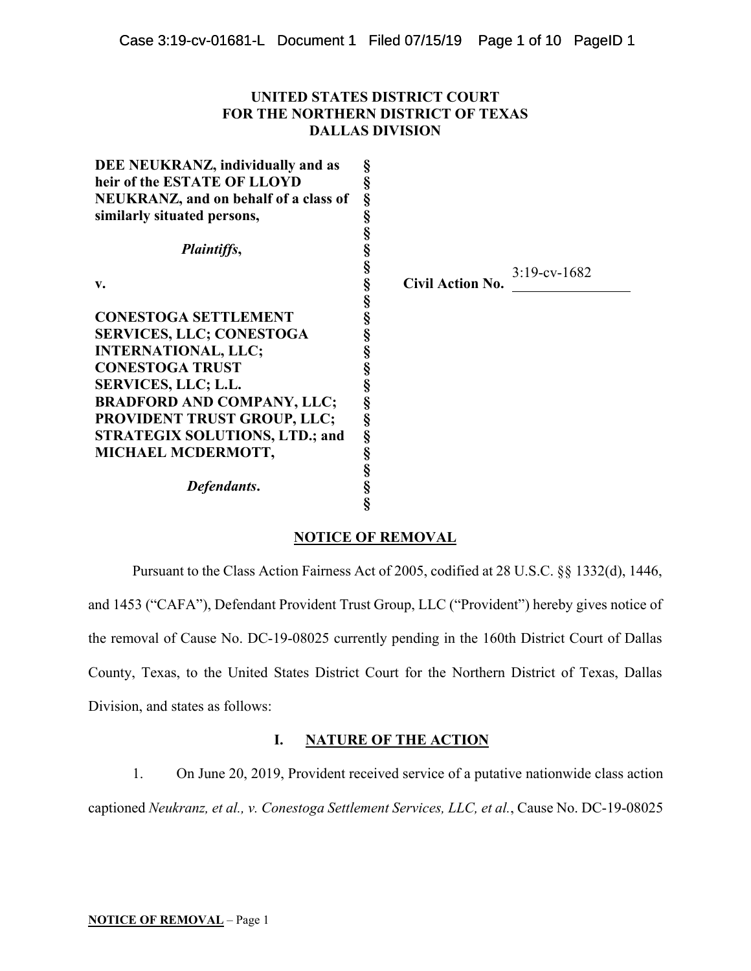# **UNITED STATES DISTRICT COURT FOR THE NORTHERN DISTRICT OF TEXAS DALLAS DIVISION**

| DEE NEUKRANZ, individually and as     | §      |                         |                    |
|---------------------------------------|--------|-------------------------|--------------------|
| heir of the ESTATE OF LLOYD           | ş      |                         |                    |
| NEUKRANZ, and on behalf of a class of | §      |                         |                    |
| similarly situated persons,           | §      |                         |                    |
|                                       | §      |                         |                    |
| <i>Plaintiffs,</i>                    | §      |                         |                    |
|                                       | §      |                         | $3:19$ -cv- $1682$ |
| v.                                    | §      | <b>Civil Action No.</b> |                    |
|                                       | §<br>§ |                         |                    |
| <b>CONESTOGA SETTLEMENT</b>           |        |                         |                    |
| <b>SERVICES, LLC; CONESTOGA</b>       | §      |                         |                    |
| <b>INTERNATIONAL, LLC;</b>            | §      |                         |                    |
| <b>CONESTOGA TRUST</b>                | §      |                         |                    |
| <b>SERVICES, LLC; L.L.</b>            | §      |                         |                    |
| <b>BRADFORD AND COMPANY, LLC;</b>     | §      |                         |                    |
| <b>PROVIDENT TRUST GROUP, LLC;</b>    | §      |                         |                    |
| <b>STRATEGIX SOLUTIONS, LTD.; and</b> | §      |                         |                    |
| MICHAEL MCDERMOTT,                    | §      |                         |                    |
|                                       | §      |                         |                    |
| Defendants.                           | §      |                         |                    |
|                                       |        |                         |                    |

# **NOTICE OF REMOVAL**

Pursuant to the Class Action Fairness Act of 2005, codified at 28 U.S.C. §§ 1332(d), 1446, and 1453 ("CAFA"), Defendant Provident Trust Group, LLC ("Provident") hereby gives notice of the removal of Cause No. DC-19-08025 currently pending in the 160th District Court of Dallas County, Texas, to the United States District Court for the Northern District of Texas, Dallas Division, and states as follows:

# **I. NATURE OF THE ACTION**

1. On June 20, 2019, Provident received service of a putative nationwide class action captioned *Neukranz, et al., v. Conestoga Settlement Services, LLC, et al.*, Cause No. DC-19-08025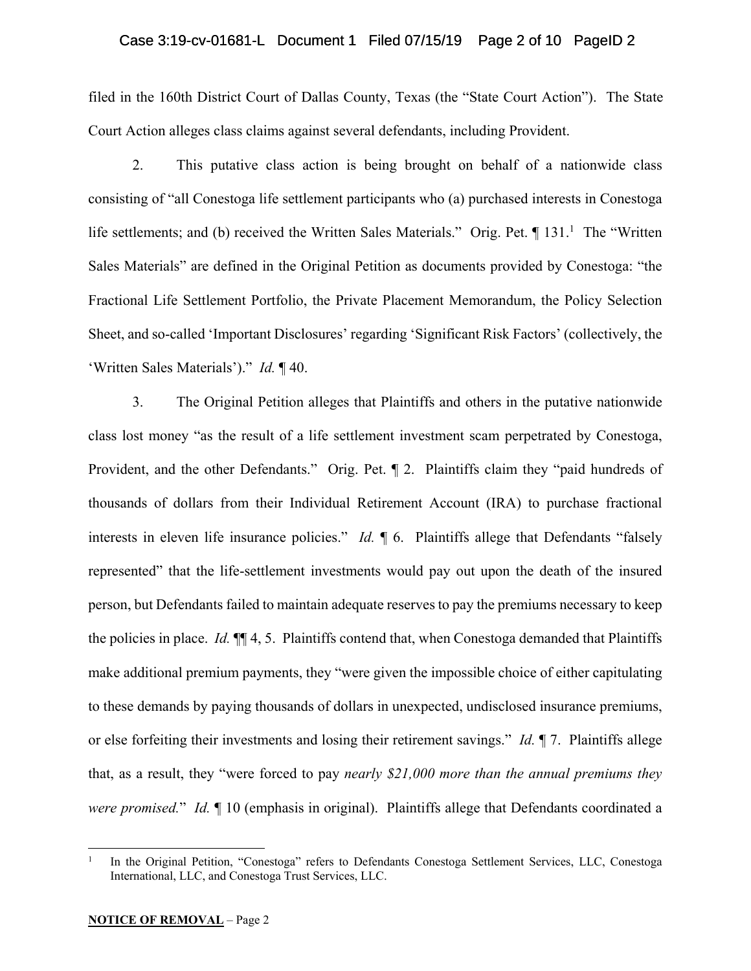# Case 3:19-cv-01681-L Document 1 Filed 07/15/19 Page 2 of 10 PageID 2

filed in the 160th District Court of Dallas County, Texas (the "State Court Action"). The State Court Action alleges class claims against several defendants, including Provident.

2. This putative class action is being brought on behalf of a nationwide class consisting of "all Conestoga life settlement participants who (a) purchased interests in Conestoga life settlements; and (b) received the Written Sales Materials." Orig. Pet. ¶ 131.<sup>1</sup> The "Written Sales Materials" are defined in the Original Petition as documents provided by Conestoga: "the Fractional Life Settlement Portfolio, the Private Placement Memorandum, the Policy Selection Sheet, and so-called 'Important Disclosures' regarding 'Significant Risk Factors' (collectively, the 'Written Sales Materials')." *Id.* ¶ 40.

3. The Original Petition alleges that Plaintiffs and others in the putative nationwide class lost money "as the result of a life settlement investment scam perpetrated by Conestoga, Provident, and the other Defendants." Orig. Pet. ¶ 2. Plaintiffs claim they "paid hundreds of thousands of dollars from their Individual Retirement Account (IRA) to purchase fractional interests in eleven life insurance policies." *Id.* ¶ 6. Plaintiffs allege that Defendants "falsely represented" that the life-settlement investments would pay out upon the death of the insured person, but Defendants failed to maintain adequate reserves to pay the premiums necessary to keep the policies in place. *Id.* ¶¶ 4, 5. Plaintiffs contend that, when Conestoga demanded that Plaintiffs make additional premium payments, they "were given the impossible choice of either capitulating to these demands by paying thousands of dollars in unexpected, undisclosed insurance premiums, or else forfeiting their investments and losing their retirement savings." *Id.* ¶ 7. Plaintiffs allege that, as a result, they "were forced to pay *nearly \$21,000 more than the annual premiums they were promised.*" *Id.* ¶ 10 (emphasis in original). Plaintiffs allege that Defendants coordinated a

 $\overline{a}$ 

<sup>1</sup> In the Original Petition, "Conestoga" refers to Defendants Conestoga Settlement Services, LLC, Conestoga International, LLC, and Conestoga Trust Services, LLC.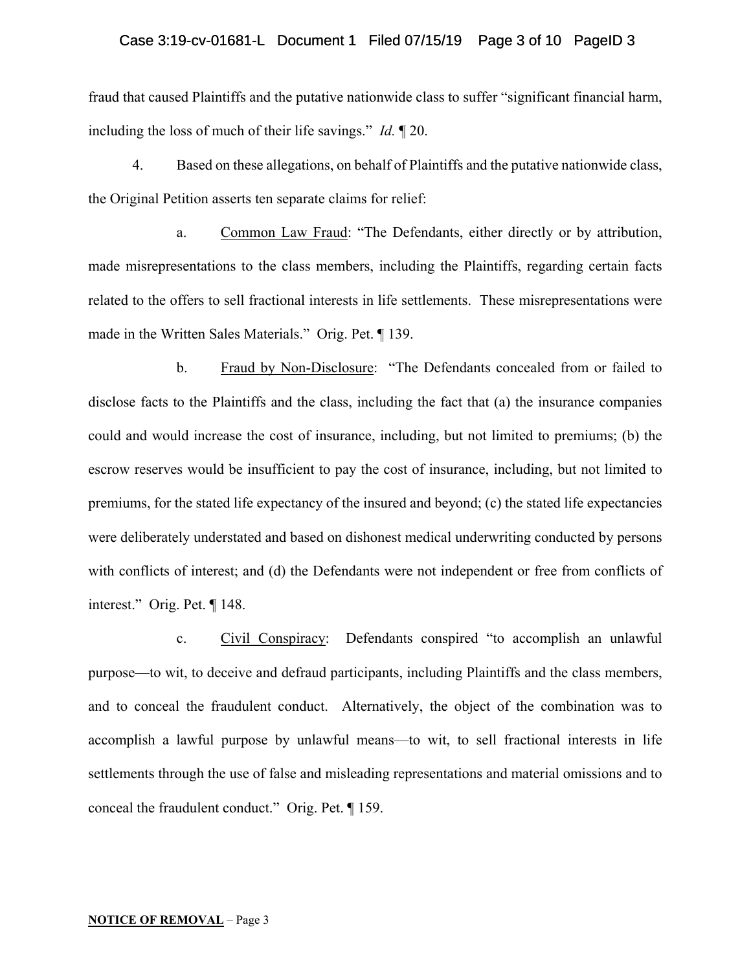### Case 3:19-cv-01681-L Document 1 Filed 07/15/19 Page 3 of 10 PageID 3

fraud that caused Plaintiffs and the putative nationwide class to suffer "significant financial harm, including the loss of much of their life savings." *Id.* ¶ 20.

4. Based on these allegations, on behalf of Plaintiffs and the putative nationwide class, the Original Petition asserts ten separate claims for relief:

a. Common Law Fraud: "The Defendants, either directly or by attribution, made misrepresentations to the class members, including the Plaintiffs, regarding certain facts related to the offers to sell fractional interests in life settlements. These misrepresentations were made in the Written Sales Materials." Orig. Pet. ¶ 139.

b. Fraud by Non-Disclosure: "The Defendants concealed from or failed to disclose facts to the Plaintiffs and the class, including the fact that (a) the insurance companies could and would increase the cost of insurance, including, but not limited to premiums; (b) the escrow reserves would be insufficient to pay the cost of insurance, including, but not limited to premiums, for the stated life expectancy of the insured and beyond; (c) the stated life expectancies were deliberately understated and based on dishonest medical underwriting conducted by persons with conflicts of interest; and (d) the Defendants were not independent or free from conflicts of interest." Orig. Pet. ¶ 148.

c. Civil Conspiracy: Defendants conspired "to accomplish an unlawful purpose—to wit, to deceive and defraud participants, including Plaintiffs and the class members, and to conceal the fraudulent conduct. Alternatively, the object of the combination was to accomplish a lawful purpose by unlawful means—to wit, to sell fractional interests in life settlements through the use of false and misleading representations and material omissions and to conceal the fraudulent conduct." Orig. Pet. ¶ 159.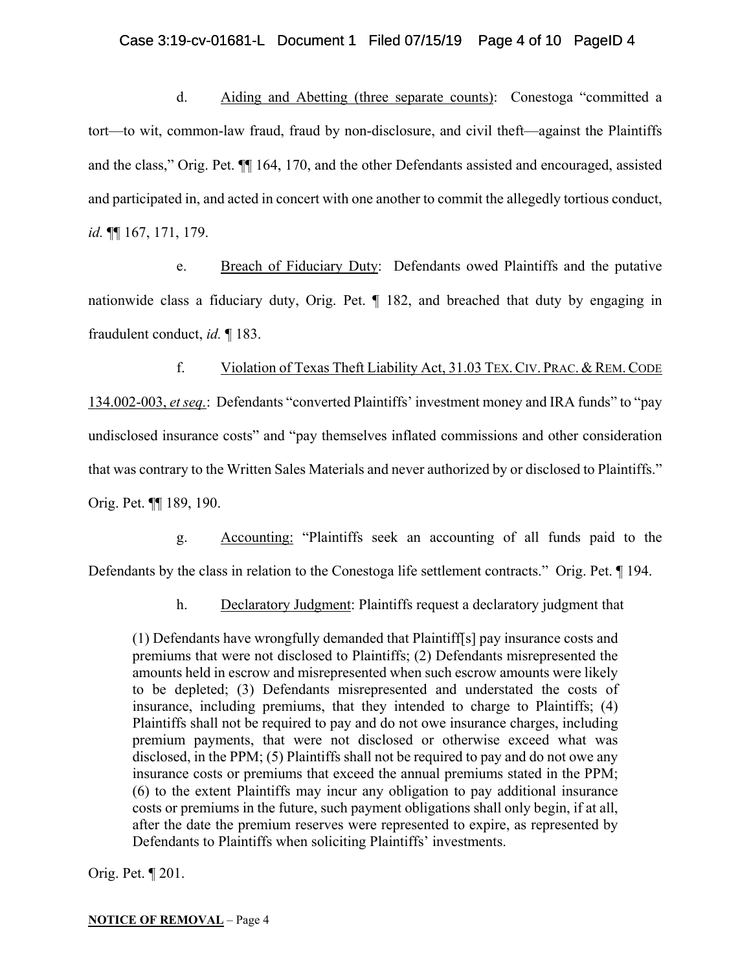# Case 3:19-cv-01681-L Document 1 Filed 07/15/19 Page 4 of 10 PageID 4

d. Aiding and Abetting (three separate counts): Conestoga "committed a tort—to wit, common-law fraud, fraud by non-disclosure, and civil theft—against the Plaintiffs and the class," Orig. Pet. ¶¶ 164, 170, and the other Defendants assisted and encouraged, assisted and participated in, and acted in concert with one another to commit the allegedly tortious conduct, *id.* ¶¶ 167, 171, 179.

e. Breach of Fiduciary Duty: Defendants owed Plaintiffs and the putative nationwide class a fiduciary duty, Orig. Pet. ¶ 182, and breached that duty by engaging in fraudulent conduct, *id.* ¶ 183.

f. Violation of Texas Theft Liability Act, 31.03 TEX.CIV. PRAC. & REM.CODE 134.002-003, *et seq.*: Defendants "converted Plaintiffs' investment money and IRA funds" to "pay undisclosed insurance costs" and "pay themselves inflated commissions and other consideration that was contrary to the Written Sales Materials and never authorized by or disclosed to Plaintiffs." Orig. Pet. ¶¶ 189, 190.

g. Accounting: "Plaintiffs seek an accounting of all funds paid to the Defendants by the class in relation to the Conestoga life settlement contracts." Orig. Pet. ¶ 194.

h. Declaratory Judgment: Plaintiffs request a declaratory judgment that

(1) Defendants have wrongfully demanded that Plaintiff[s] pay insurance costs and premiums that were not disclosed to Plaintiffs; (2) Defendants misrepresented the amounts held in escrow and misrepresented when such escrow amounts were likely to be depleted; (3) Defendants misrepresented and understated the costs of insurance, including premiums, that they intended to charge to Plaintiffs; (4) Plaintiffs shall not be required to pay and do not owe insurance charges, including premium payments, that were not disclosed or otherwise exceed what was disclosed, in the PPM; (5) Plaintiffs shall not be required to pay and do not owe any insurance costs or premiums that exceed the annual premiums stated in the PPM; (6) to the extent Plaintiffs may incur any obligation to pay additional insurance costs or premiums in the future, such payment obligations shall only begin, if at all, after the date the premium reserves were represented to expire, as represented by Defendants to Plaintiffs when soliciting Plaintiffs' investments.

Orig. Pet. ¶ 201.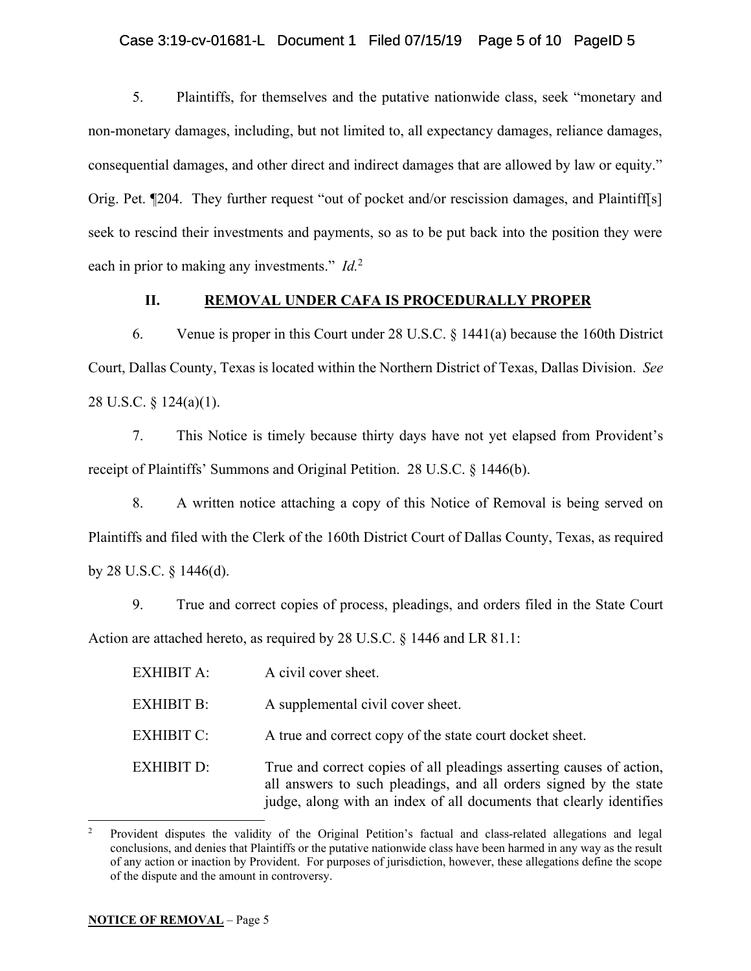# Case 3:19-cv-01681-L Document 1 Filed 07/15/19 Page 5 of 10 PageID 5

5. Plaintiffs, for themselves and the putative nationwide class, seek "monetary and non-monetary damages, including, but not limited to, all expectancy damages, reliance damages, consequential damages, and other direct and indirect damages that are allowed by law or equity." Orig. Pet. ¶204. They further request "out of pocket and/or rescission damages, and Plaintiff[s] seek to rescind their investments and payments, so as to be put back into the position they were each in prior to making any investments." *Id.*<sup>2</sup>

# **II. REMOVAL UNDER CAFA IS PROCEDURALLY PROPER**

6. Venue is proper in this Court under 28 U.S.C. § 1441(a) because the 160th District Court, Dallas County, Texas is located within the Northern District of Texas, Dallas Division. *See* 28 U.S.C. § 124(a)(1).

7. This Notice is timely because thirty days have not yet elapsed from Provident's receipt of Plaintiffs' Summons and Original Petition. 28 U.S.C. § 1446(b).

8. A written notice attaching a copy of this Notice of Removal is being served on Plaintiffs and filed with the Clerk of the 160th District Court of Dallas County, Texas, as required by 28 U.S.C. § 1446(d).

9. True and correct copies of process, pleadings, and orders filed in the State Court Action are attached hereto, as required by 28 U.S.C. § 1446 and LR 81.1:

| <b>EXHIBIT A:</b> | A civil cover sheet.                                                                                                                                                                                             |
|-------------------|------------------------------------------------------------------------------------------------------------------------------------------------------------------------------------------------------------------|
| <b>EXHIBIT B:</b> | A supplemental civil cover sheet.                                                                                                                                                                                |
| <b>EXHIBIT C:</b> | A true and correct copy of the state court docket sheet.                                                                                                                                                         |
| <b>EXHIBIT D:</b> | True and correct copies of all pleadings asserting causes of action,<br>all answers to such pleadings, and all orders signed by the state<br>judge, along with an index of all documents that clearly identifies |

<sup>2</sup> Provident disputes the validity of the Original Petition's factual and class-related allegations and legal conclusions, and denies that Plaintiffs or the putative nationwide class have been harmed in any way as the result of any action or inaction by Provident. For purposes of jurisdiction, however, these allegations define the scope of the dispute and the amount in controversy.

l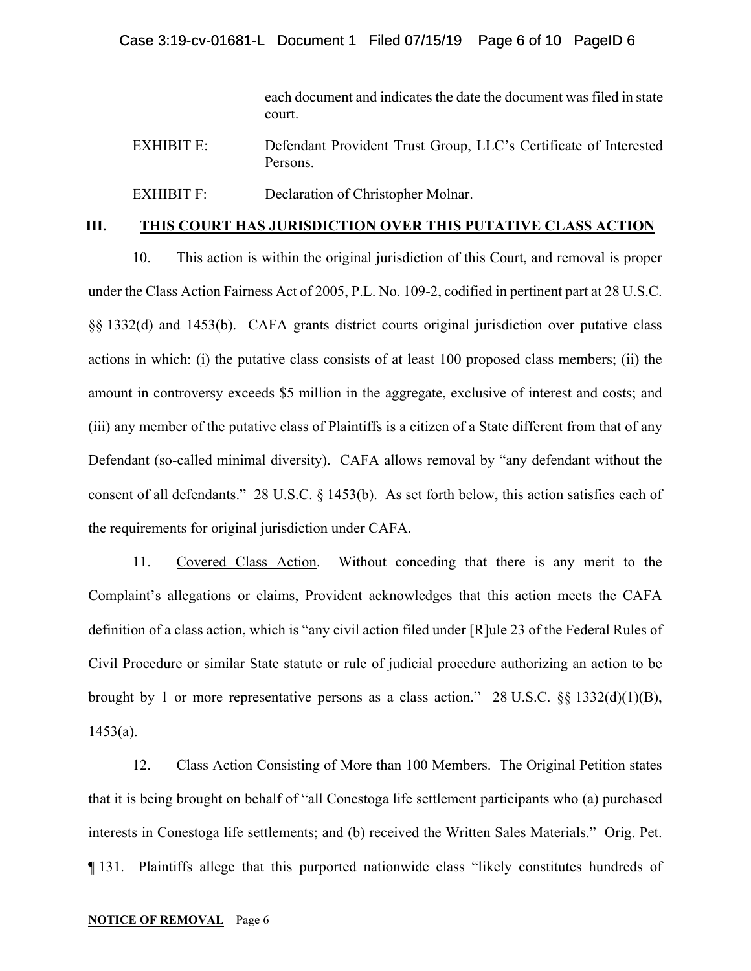each document and indicates the date the document was filed in state court.

| <b>EXHIBIT E:</b> | Defendant Provident Trust Group, LLC's Certificate of Interested |
|-------------------|------------------------------------------------------------------|
|                   | Persons.                                                         |
|                   |                                                                  |

EXHIBIT F: Declaration of Christopher Molnar.

# **III. THIS COURT HAS JURISDICTION OVER THIS PUTATIVE CLASS ACTION**

10. This action is within the original jurisdiction of this Court, and removal is proper under the Class Action Fairness Act of 2005, P.L. No. 109-2, codified in pertinent part at 28 U.S.C. §§ 1332(d) and 1453(b). CAFA grants district courts original jurisdiction over putative class actions in which: (i) the putative class consists of at least 100 proposed class members; (ii) the amount in controversy exceeds \$5 million in the aggregate, exclusive of interest and costs; and (iii) any member of the putative class of Plaintiffs is a citizen of a State different from that of any Defendant (so-called minimal diversity). CAFA allows removal by "any defendant without the consent of all defendants." 28 U.S.C. § 1453(b). As set forth below, this action satisfies each of the requirements for original jurisdiction under CAFA.

11. Covered Class Action. Without conceding that there is any merit to the Complaint's allegations or claims, Provident acknowledges that this action meets the CAFA definition of a class action, which is "any civil action filed under [R]ule 23 of the Federal Rules of Civil Procedure or similar State statute or rule of judicial procedure authorizing an action to be brought by 1 or more representative persons as a class action." 28 U.S.C. §§ 1332(d)(1)(B),  $1453(a)$ .

12. Class Action Consisting of More than 100 Members. The Original Petition states that it is being brought on behalf of "all Conestoga life settlement participants who (a) purchased interests in Conestoga life settlements; and (b) received the Written Sales Materials." Orig. Pet. ¶ 131. Plaintiffs allege that this purported nationwide class "likely constitutes hundreds of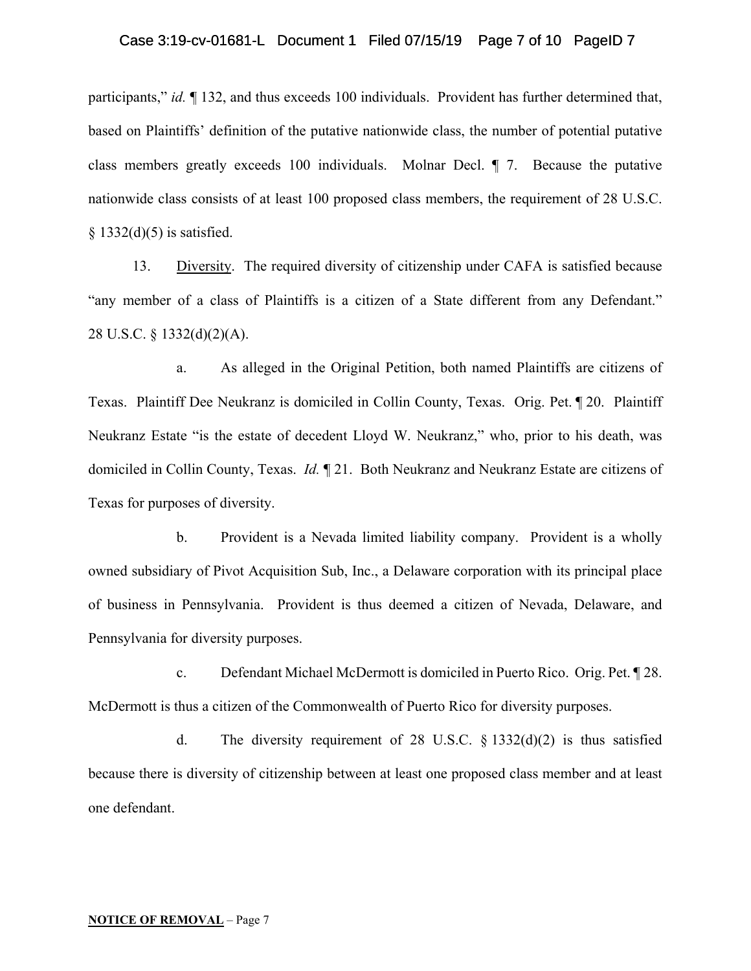participants," *id.* ¶ 132, and thus exceeds 100 individuals. Provident has further determined that, based on Plaintiffs' definition of the putative nationwide class, the number of potential putative class members greatly exceeds 100 individuals. Molnar Decl. ¶ 7. Because the putative nationwide class consists of at least 100 proposed class members, the requirement of 28 U.S.C.  $§$  1332(d)(5) is satisfied.

13. Diversity. The required diversity of citizenship under CAFA is satisfied because "any member of a class of Plaintiffs is a citizen of a State different from any Defendant." 28 U.S.C. § 1332(d)(2)(A).

a. As alleged in the Original Petition, both named Plaintiffs are citizens of Texas. Plaintiff Dee Neukranz is domiciled in Collin County, Texas. Orig. Pet. ¶ 20. Plaintiff Neukranz Estate "is the estate of decedent Lloyd W. Neukranz," who, prior to his death, was domiciled in Collin County, Texas. *Id.* ¶ 21. Both Neukranz and Neukranz Estate are citizens of Texas for purposes of diversity.

b. Provident is a Nevada limited liability company. Provident is a wholly owned subsidiary of Pivot Acquisition Sub, Inc., a Delaware corporation with its principal place of business in Pennsylvania. Provident is thus deemed a citizen of Nevada, Delaware, and Pennsylvania for diversity purposes.

c. Defendant Michael McDermott is domiciled in Puerto Rico. Orig. Pet. ¶ 28. McDermott is thus a citizen of the Commonwealth of Puerto Rico for diversity purposes.

d. The diversity requirement of 28 U.S.C.  $\S$  1332(d)(2) is thus satisfied because there is diversity of citizenship between at least one proposed class member and at least one defendant.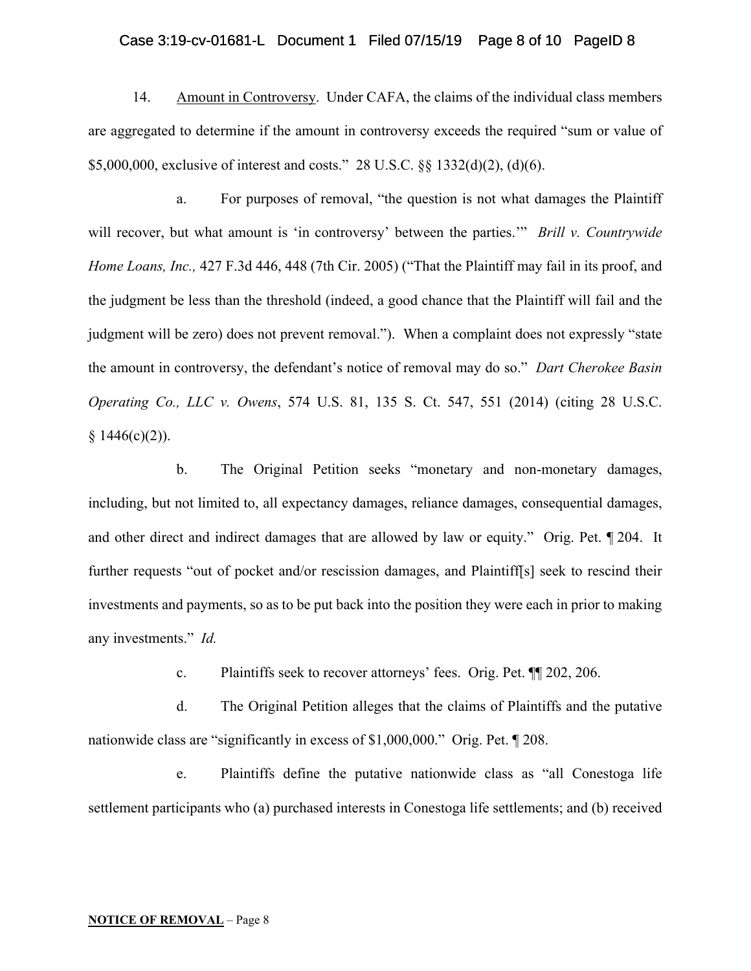# Case 3:19-cv-01681-L Document 1 Filed 07/15/19 Page 8 of 10 PageID 8

14. Amount in Controversy. Under CAFA, the claims of the individual class members are aggregated to determine if the amount in controversy exceeds the required "sum or value of \$5,000,000, exclusive of interest and costs." 28 U.S.C. §§ 1332(d)(2), (d)(6).

a. For purposes of removal, "the question is not what damages the Plaintiff will recover, but what amount is 'in controversy' between the parties.'" *Brill v. Countrywide Home Loans, Inc.,* 427 F.3d 446, 448 (7th Cir. 2005) ("That the Plaintiff may fail in its proof, and the judgment be less than the threshold (indeed, a good chance that the Plaintiff will fail and the judgment will be zero) does not prevent removal."). When a complaint does not expressly "state the amount in controversy, the defendant's notice of removal may do so." *Dart Cherokee Basin Operating Co., LLC v. Owens*, 574 U.S. 81, 135 S. Ct. 547, 551 (2014) (citing 28 U.S.C.  $§ 1446(c)(2)).$ 

b. The Original Petition seeks "monetary and non-monetary damages, including, but not limited to, all expectancy damages, reliance damages, consequential damages, and other direct and indirect damages that are allowed by law or equity." Orig. Pet. ¶ 204. It further requests "out of pocket and/or rescission damages, and Plaintiff[s] seek to rescind their investments and payments, so as to be put back into the position they were each in prior to making any investments." *Id.*

c. Plaintiffs seek to recover attorneys' fees. Orig. Pet. ¶¶ 202, 206.

d. The Original Petition alleges that the claims of Plaintiffs and the putative nationwide class are "significantly in excess of \$1,000,000." Orig. Pet. ¶ 208.

e. Plaintiffs define the putative nationwide class as "all Conestoga life settlement participants who (a) purchased interests in Conestoga life settlements; and (b) received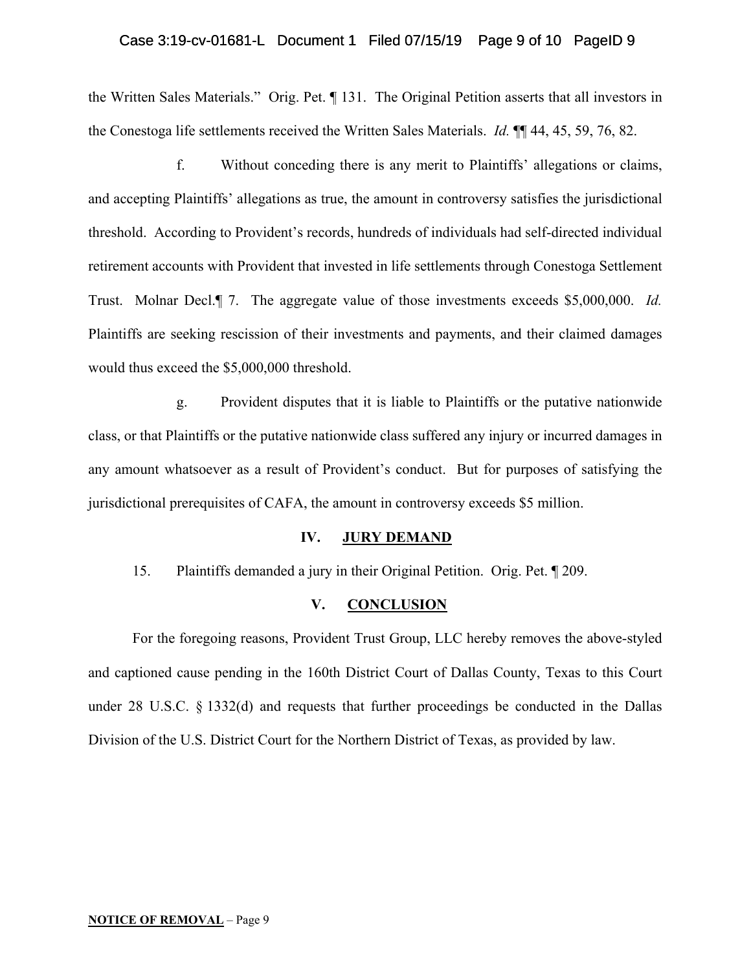#### Case 3:19-cv-01681-L Document 1 Filed 07/15/19 Page 9 of 10 PageID 9

the Written Sales Materials." Orig. Pet. ¶ 131. The Original Petition asserts that all investors in the Conestoga life settlements received the Written Sales Materials. *Id.* ¶¶ 44, 45, 59, 76, 82.

f. Without conceding there is any merit to Plaintiffs' allegations or claims, and accepting Plaintiffs' allegations as true, the amount in controversy satisfies the jurisdictional threshold. According to Provident's records, hundreds of individuals had self-directed individual retirement accounts with Provident that invested in life settlements through Conestoga Settlement Trust. Molnar Decl.¶ 7. The aggregate value of those investments exceeds \$5,000,000. *Id.* Plaintiffs are seeking rescission of their investments and payments, and their claimed damages would thus exceed the \$5,000,000 threshold.

g. Provident disputes that it is liable to Plaintiffs or the putative nationwide class, or that Plaintiffs or the putative nationwide class suffered any injury or incurred damages in any amount whatsoever as a result of Provident's conduct. But for purposes of satisfying the jurisdictional prerequisites of CAFA, the amount in controversy exceeds \$5 million.

### **IV. JURY DEMAND**

15. Plaintiffs demanded a jury in their Original Petition. Orig. Pet. ¶ 209.

#### **V. CONCLUSION**

For the foregoing reasons, Provident Trust Group, LLC hereby removes the above-styled and captioned cause pending in the 160th District Court of Dallas County, Texas to this Court under 28 U.S.C. § 1332(d) and requests that further proceedings be conducted in the Dallas Division of the U.S. District Court for the Northern District of Texas, as provided by law.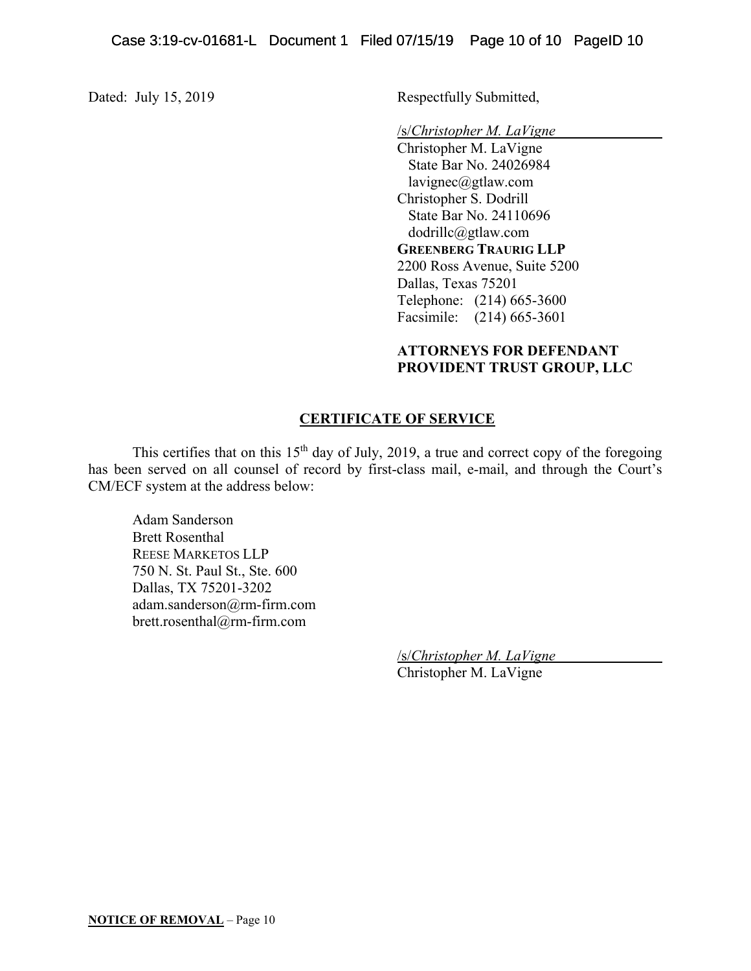Dated: July 15, 2019 Respectfully Submitted,

/s/*Christopher M. LaVigne* 

Christopher M. LaVigne State Bar No. 24026984 lavignec@gtlaw.com Christopher S. Dodrill State Bar No. 24110696 dodrillc@gtlaw.com  **GREENBERG TRAURIG LLP**  2200 Ross Avenue, Suite 5200 Dallas, Texas 75201 Telephone: (214) 665-3600 Facsimile: (214) 665-3601

# **ATTORNEYS FOR DEFENDANT PROVIDENT TRUST GROUP, LLC**

# **CERTIFICATE OF SERVICE**

This certifies that on this  $15<sup>th</sup>$  day of July, 2019, a true and correct copy of the foregoing has been served on all counsel of record by first-class mail, e-mail, and through the Court's CM/ECF system at the address below:

Adam Sanderson Brett Rosenthal REESE MARKETOS LLP 750 N. St. Paul St., Ste. 600 Dallas, TX 75201-3202 adam.sanderson@rm-firm.com brett.rosenthal@rm-firm.com

> /s/*Christopher M. LaVigne*  Christopher M. LaVigne